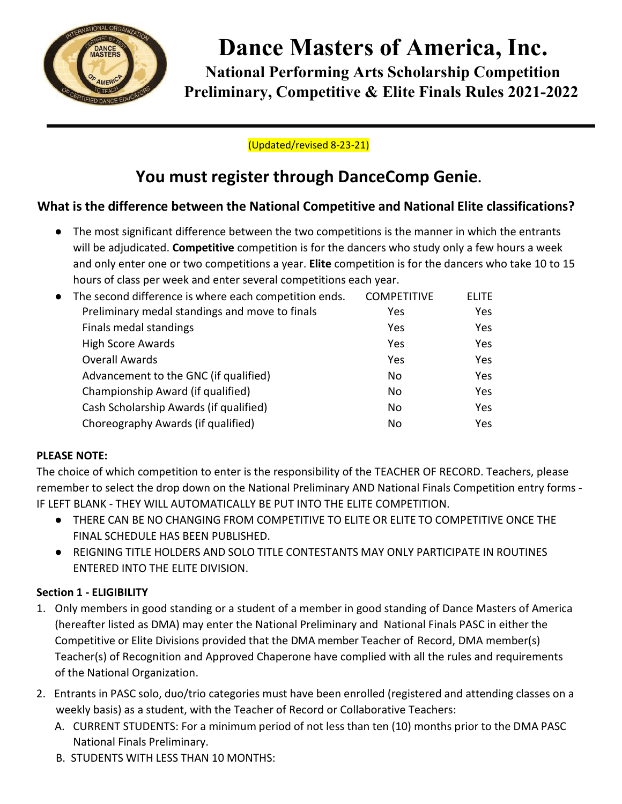

# **Dance Masters of America, Inc.**

**National Performing Arts Scholarship Competition Preliminary, Competitive & Elite Finals Rules 2021-2022**

# (Updated/revised 8-23-21)

# **You must register through DanceComp Genie.**

# **What is the difference between the National Competitive and National Elite classifications?**

● The most significant difference between the two competitions is the manner in which the entrants will be adjudicated. **Competitive** competition is for the dancers who study only a few hours a week and only enter one or two competitions a year. **Elite** competition is for the dancers who take 10 to 15 hours of class per week and enter several competitions each year.

| • The second difference is where each competition ends. | <b>COMPETITIVE</b> | <b>ELITE</b> |
|---------------------------------------------------------|--------------------|--------------|
| Preliminary medal standings and move to finals          | Yes                | <b>Yes</b>   |
| Finals medal standings                                  | Yes                | <b>Yes</b>   |
| <b>High Score Awards</b>                                | Yes                | <b>Yes</b>   |
| <b>Overall Awards</b>                                   | Yes                | <b>Yes</b>   |
| Advancement to the GNC (if qualified)                   | No                 | Yes          |
| Championship Award (if qualified)                       | No                 | Yes          |
| Cash Scholarship Awards (if qualified)                  | No                 | Yes          |
| Choreography Awards (if qualified)                      | No                 | <b>Yes</b>   |
|                                                         |                    |              |

#### **PLEASE NOTE:**

The choice of which competition to enter is the responsibility of the TEACHER OF RECORD. Teachers, please remember to select the drop down on the National Preliminary AND National Finals Competition entry forms - IF LEFT BLANK - THEY WILL AUTOMATICALLY BE PUT INTO THE ELITE COMPETITION.

- THERE CAN BE NO CHANGING FROM COMPETITIVE TO ELITE OR ELITE TO COMPETITIVE ONCE THE FINAL SCHEDULE HAS BEEN PUBLISHED.
- REIGNING TITLE HOLDERS AND SOLO TITLE CONTESTANTS MAY ONLY PARTICIPATE IN ROUTINES ENTERED INTO THE ELITE DIVISION.

# **Section 1 - ELIGIBILITY**

- 1. Only members in good standing or a student of a member in good standing of Dance Masters of America (hereafter listed as DMA) may enter the National Preliminary and National Finals PASC in either the Competitive or Elite Divisions provided that the DMA member Teacher of Record, DMA member(s) Teacher(s) of Recognition and Approved Chaperone have complied with all the rules and requirements of the National Organization.
- 2. Entrants in PASC solo, duo/trio categories must have been enrolled (registered and attending classes on a weekly basis) as a student, with the Teacher of Record or Collaborative Teachers:
	- A. CURRENT STUDENTS: For a minimum period of not less than ten (10) months prior to the DMA PASC National Finals Preliminary.
	- B. STUDENTS WITH LESS THAN 10 MONTHS: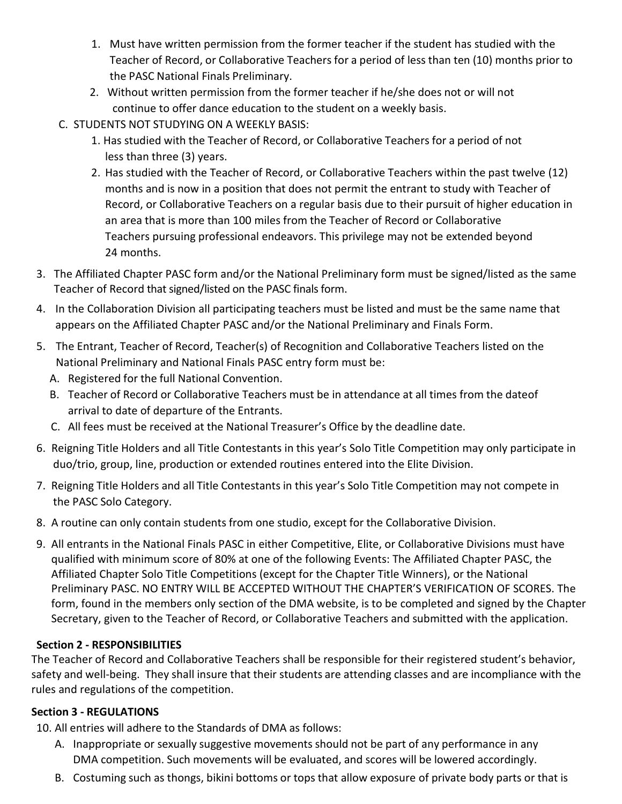- 1. Must have written permission from the former teacher if the student has studied with the Teacher of Record, or Collaborative Teachers for a period of less than ten (10) months prior to the PASC National Finals Preliminary.
- 2. Without written permission from the former teacher if he/she does not or will not continue to offer dance education to the student on a weekly basis.
- C. STUDENTS NOT STUDYING ON A WEEKLY BASIS:
	- 1. Has studied with the Teacher of Record, or Collaborative Teachers for a period of not less than three (3) years.
	- 2. Has studied with the Teacher of Record, or Collaborative Teachers within the past twelve (12) months and is now in a position that does not permit the entrant to study with Teacher of Record, or Collaborative Teachers on a regular basis due to their pursuit of higher education in an area that is more than 100 miles from the Teacher of Record or Collaborative Teachers pursuing professional endeavors. This privilege may not be extended beyond 24 months.
- 3. The Affiliated Chapter PASC form and/or the National Preliminary form must be signed/listed as the same Teacher of Record that signed/listed on the PASC finals form.
- 4. In the Collaboration Division all participating teachers must be listed and must be the same name that appears on the Affiliated Chapter PASC and/or the National Preliminary and Finals Form.
- 5. The Entrant, Teacher of Record, Teacher(s) of Recognition and Collaborative Teachers listed on the National Preliminary and National Finals PASC entry form must be:
	- A. Registered for the full National Convention.
	- B. Teacher of Record or Collaborative Teachers must be in attendance at all times from the dateof arrival to date of departure of the Entrants.
	- C. All fees must be received at the National Treasurer's Office by the deadline date.
- 6. Reigning Title Holders and all Title Contestants in this year's Solo Title Competition may only participate in duo/trio, group, line, production or extended routines entered into the Elite Division.
- 7. Reigning Title Holders and all Title Contestants in this year's Solo Title Competition may not compete in the PASC Solo Category.
- 8. A routine can only contain students from one studio, except for the Collaborative Division.
- 9. All entrants in the National Finals PASC in either Competitive, Elite, or Collaborative Divisions must have qualified with minimum score of 80% at one of the following Events: The Affiliated Chapter PASC, the Affiliated Chapter Solo Title Competitions (except for the Chapter Title Winners), or the National Preliminary PASC. NO ENTRY WILL BE ACCEPTED WITHOUT THE CHAPTER'S VERIFICATION OF SCORES. The form, found in the members only section of the DMA website, is to be completed and signed by the Chapter Secretary, given to the Teacher of Record, or Collaborative Teachers and submitted with the application.

# **Section 2 - RESPONSIBILITIES**

The Teacher of Record and Collaborative Teachers shall be responsible for their registered student's behavior, safety and well-being. They shall insure that their students are attending classes and are incompliance with the rules and regulations of the competition.

# **Section 3 - REGULATIONS**

10. All entries will adhere to the Standards of DMA as follows:

- A. Inappropriate or sexually suggestive movements should not be part of any performance in any DMA competition. Such movements will be evaluated, and scores will be lowered accordingly.
- B. Costuming such as thongs, bikini bottoms or tops that allow exposure of private body parts or that is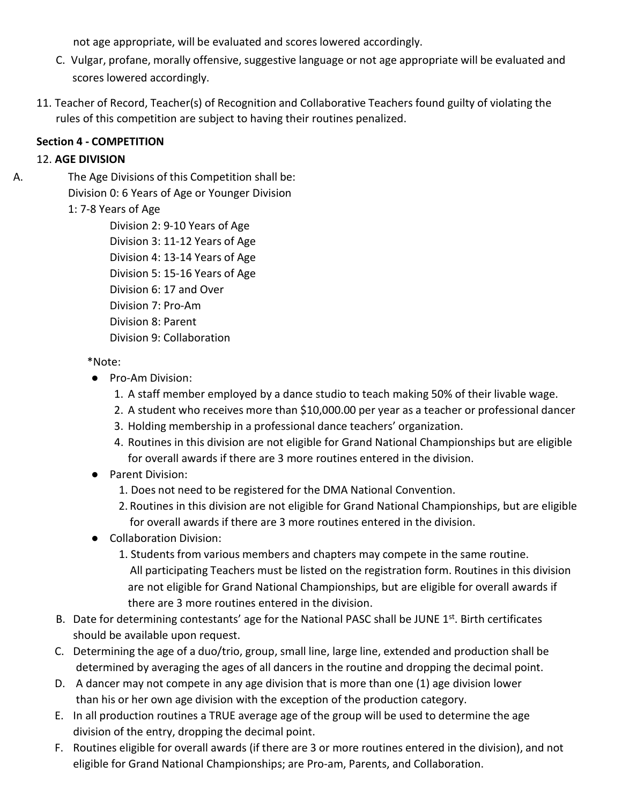not age appropriate, will be evaluated and scores lowered accordingly.

- C. Vulgar, profane, morally offensive, suggestive language or not age appropriate will be evaluated and scores lowered accordingly.
- 11. Teacher of Record, Teacher(s) of Recognition and Collaborative Teachers found guilty of violating the rules of this competition are subject to having their routines penalized.

# **Section 4 - COMPETITION**

# 12. **AGE DIVISION**

A. The Age Divisions of this Competition shall be: Division 0: 6 Years of Age or Younger Division

# 1: 7-8 Years of Age

Division 2: 9-10 Years of Age Division 3: 11-12 Years of Age Division 4: 13-14 Years of Age Division 5: 15-16 Years of Age Division 6: 17 and Over Division 7: Pro-Am Division 8: Parent Division 9: Collaboration

# \*Note:

- Pro-Am Division:
	- 1. A staff member employed by a dance studio to teach making 50% of their livable wage.
	- 2. A student who receives more than \$10,000.00 per year as a teacher or professional dancer
	- 3. Holding membership in a professional dance teachers' organization.
	- 4. Routines in this division are not eligible for Grand National Championships but are eligible for overall awards if there are 3 more routines entered in the division.
- Parent Division:
	- 1. Does not need to be registered for the DMA National Convention.
	- 2. Routines in this division are not eligible for Grand National Championships, but are eligible for overall awards if there are 3 more routines entered in the division.
- Collaboration Division:
	- 1. Students from various members and chapters may compete in the same routine. All participating Teachers must be listed on the registration form. Routines in this division are not eligible for Grand National Championships, but are eligible for overall awards if there are 3 more routines entered in the division.
- B. Date for determining contestants' age for the National PASC shall be JUNE 1<sup>st</sup>. Birth certificates should be available upon request.
- C. Determining the age of a duo/trio, group, small line, large line, extended and production shall be determined by averaging the ages of all dancers in the routine and dropping the decimal point.
- D. A dancer may not compete in any age division that is more than one (1) age division lower than his or her own age division with the exception of the production category.
- E. In all production routines a TRUE average age of the group will be used to determine the age division of the entry, dropping the decimal point.
- F. Routines eligible for overall awards (if there are 3 or more routines entered in the division), and not eligible for Grand National Championships; are Pro-am, Parents, and Collaboration.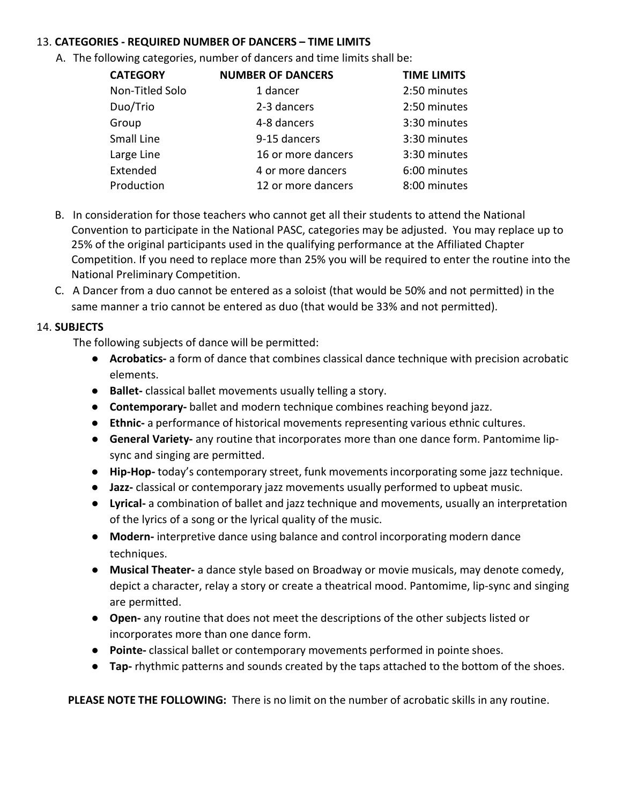#### 13. **CATEGORIES - REQUIRED NUMBER OF DANCERS – TIME LIMITS**

A. The following categories, number of dancers and time limits shall be:

| <b>CATEGORY</b> | <b>NUMBER OF DANCERS</b> | <b>TIME LIMITS</b> |
|-----------------|--------------------------|--------------------|
| Non-Titled Solo | 1 dancer                 | 2:50 minutes       |
| Duo/Trio        | 2-3 dancers              | 2:50 minutes       |
| Group           | 4-8 dancers              | 3:30 minutes       |
| Small Line      | 9-15 dancers             | 3:30 minutes       |
| Large Line      | 16 or more dancers       | 3:30 minutes       |
| Extended        | 4 or more dancers        | 6:00 minutes       |
| Production      | 12 or more dancers       | 8:00 minutes       |

- B. In consideration for those teachers who cannot get all their students to attend the National Convention to participate in the National PASC, categories may be adjusted. You may replace up to 25% of the original participants used in the qualifying performance at the Affiliated Chapter Competition. If you need to replace more than 25% you will be required to enter the routine into the National Preliminary Competition.
- C. A Dancer from a duo cannot be entered as a soloist (that would be 50% and not permitted) in the same manner a trio cannot be entered as duo (that would be 33% and not permitted).

#### 14. **SUBJECTS**

The following subjects of dance will be permitted:

- **Acrobatics-** a form of dance that combines classical dance technique with precision acrobatic elements.
- **Ballet-** classical ballet movements usually telling a story.
- **Contemporary-** ballet and modern technique combines reaching beyond jazz.
- **Ethnic-** a performance of historical movements representing various ethnic cultures.
- **General Variety-** any routine that incorporates more than one dance form. Pantomime lipsync and singing are permitted.
- **Hip-Hop-** today's contemporary street, funk movements incorporating some jazz technique.
- **Jazz-** classical or contemporary jazz movements usually performed to upbeat music.
- **Lyrical-** a combination of ballet and jazz technique and movements, usually an interpretation of the lyrics of a song or the lyrical quality of the music.
- **Modern-** interpretive dance using balance and control incorporating modern dance techniques.
- **Musical Theater-** a dance style based on Broadway or movie musicals, may denote comedy, depict a character, relay a story or create a theatrical mood. Pantomime, lip-sync and singing are permitted.
- **Open-** any routine that does not meet the descriptions of the other subjects listed or incorporates more than one dance form.
- **Pointe-** classical ballet or contemporary movements performed in pointe shoes.
- **Tap-** rhythmic patterns and sounds created by the taps attached to the bottom of the shoes.

**PLEASE NOTE THE FOLLOWING:** There is no limit on the number of acrobatic skills in any routine.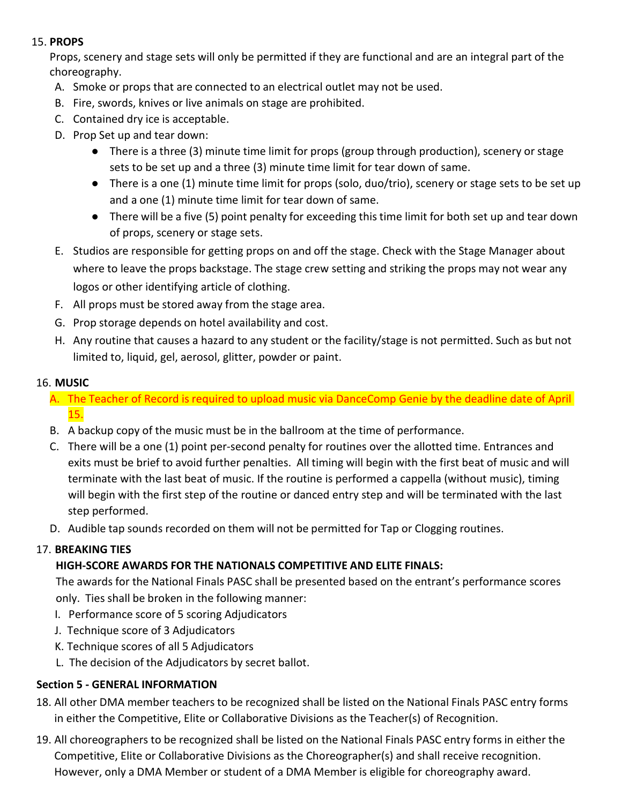#### 15. **PROPS**

Props, scenery and stage sets will only be permitted if they are functional and are an integral part of the choreography.

- A. Smoke or props that are connected to an electrical outlet may not be used.
- B. Fire, swords, knives or live animals on stage are prohibited.
- C. Contained dry ice is acceptable.
- D. Prop Set up and tear down:
	- There is a three (3) minute time limit for props (group through production), scenery or stage sets to be set up and a three (3) minute time limit for tear down of same.
	- There is a one (1) minute time limit for props (solo, duo/trio), scenery or stage sets to be set up and a one (1) minute time limit for tear down of same.
	- There will be a five (5) point penalty for exceeding this time limit for both set up and tear down of props, scenery or stage sets.
- E. Studios are responsible for getting props on and off the stage. Check with the Stage Manager about where to leave the props backstage. The stage crew setting and striking the props may not wear any logos or other identifying article of clothing.
- F. All props must be stored away from the stage area.
- G. Prop storage depends on hotel availability and cost.
- H. Any routine that causes a hazard to any student or the facility/stage is not permitted. Such as but not limited to, liquid, gel, aerosol, glitter, powder or paint.

#### 16. **MUSIC**

- A. The Teacher of Record is required to upload music via DanceComp Genie by the deadline date of April 15.
- B. A backup copy of the music must be in the ballroom at the time of performance.
- C. There will be a one (1) point per-second penalty for routines over the allotted time. Entrances and exits must be brief to avoid further penalties. All timing will begin with the first beat of music and will terminate with the last beat of music. If the routine is performed a cappella (without music), timing will begin with the first step of the routine or danced entry step and will be terminated with the last step performed.
- D. Audible tap sounds recorded on them will not be permitted for Tap or Clogging routines.

# 17. **BREAKING TIES**

#### **HIGH-SCORE AWARDS FOR THE NATIONALS COMPETITIVE AND ELITE FINALS:**

The awards for the National Finals PASC shall be presented based on the entrant's performance scores only. Ties shall be broken in the following manner:

- I. Performance score of 5 scoring Adjudicators
- J. Technique score of 3 Adjudicators
- K. Technique scores of all 5 Adjudicators
- L. The decision of the Adjudicators by secret ballot.

#### **Section 5 - GENERAL INFORMATION**

- 18. All other DMA member teachers to be recognized shall be listed on the National Finals PASC entry forms in either the Competitive, Elite or Collaborative Divisions as the Teacher(s) of Recognition.
- 19. All choreographers to be recognized shall be listed on the National Finals PASC entry forms in either the Competitive, Elite or Collaborative Divisions as the Choreographer(s) and shall receive recognition. However, only a DMA Member or student of a DMA Member is eligible for choreography award.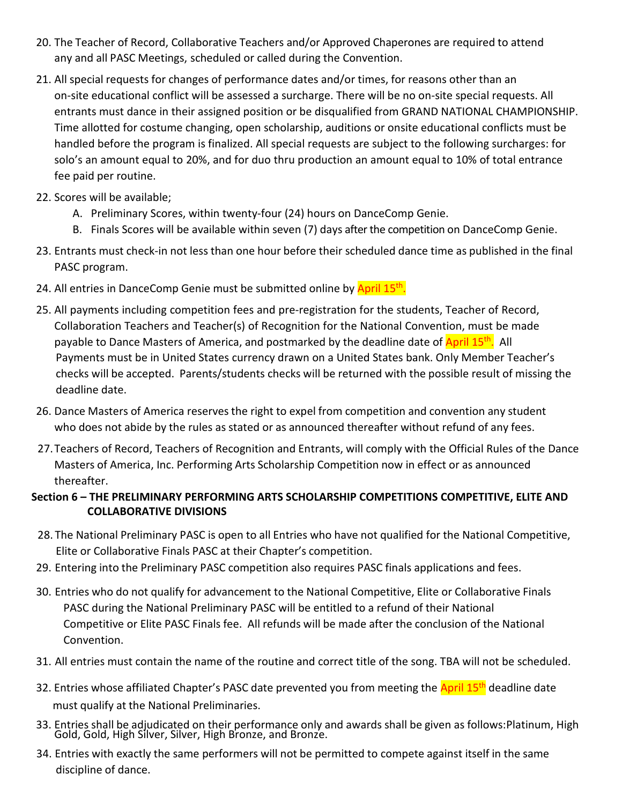- 20. The Teacher of Record, Collaborative Teachers and/or Approved Chaperones are required to attend any and all PASC Meetings, scheduled or called during the Convention.
- 21. All special requests for changes of performance dates and/or times, for reasons other than an on-site educational conflict will be assessed a surcharge. There will be no on-site special requests. All entrants must dance in their assigned position or be disqualified from GRAND NATIONAL CHAMPIONSHIP. Time allotted for costume changing, open scholarship, auditions or onsite educational conflicts must be handled before the program is finalized. All special requests are subject to the following surcharges: for solo's an amount equal to 20%, and for duo thru production an amount equal to 10% of total entrance fee paid per routine.
- 22. Scores will be available;
	- A. Preliminary Scores, within twenty-four (24) hours on DanceComp Genie.
	- B. Finals Scores will be available within seven (7) days after the competition on DanceComp Genie.
- 23. Entrants must check-in not less than one hour before their scheduled dance time as published in the final PASC program.
- 24. All entries in DanceComp Genie must be submitted online by April 15<sup>th</sup>.
- 25. All payments including competition fees and pre-registration for the students, Teacher of Record, Collaboration Teachers and Teacher(s) of Recognition for the National Convention, must be made payable to Dance Masters of America, and postmarked by the deadline date of April 15<sup>th</sup>. All Payments must be in United States currency drawn on a United States bank. Only Member Teacher's checks will be accepted. Parents/students checks will be returned with the possible result of missing the deadline date.
- 26. Dance Masters of America reserves the right to expel from competition and convention any student who does not abide by the rules as stated or as announced thereafter without refund of any fees.
- 27.Teachers of Record, Teachers of Recognition and Entrants, will comply with the Official Rules of the Dance Masters of America, Inc. Performing Arts Scholarship Competition now in effect or as announced thereafter.

# **Section 6 – THE PRELIMINARY PERFORMING ARTS SCHOLARSHIP COMPETITIONS COMPETITIVE, ELITE AND COLLABORATIVE DIVISIONS**

- 28. The National Preliminary PASC is open to all Entries who have not qualified for the National Competitive, Elite or Collaborative Finals PASC at their Chapter's competition.
- 29. Entering into the Preliminary PASC competition also requires PASC finals applications and fees.
- 30. Entries who do not qualify for advancement to the National Competitive, Elite or Collaborative Finals PASC during the National Preliminary PASC will be entitled to a refund of their National Competitive or Elite PASC Finals fee. All refunds will be made after the conclusion of the National Convention.
- 31. All entries must contain the name of the routine and correct title of the song. TBA will not be scheduled.
- 32. Entries whose affiliated Chapter's PASC date prevented you from meeting the **April 15<sup>th</sup> deadline date** must qualify at the National Preliminaries.
- 33. Entries shall be adjudicated on their performance only and awards shall be given as follows:Platinum, High Gold, Gold, High Silver, Silver, High Bronze, and Bronze.
- 34. Entries with exactly the same performers will not be permitted to compete against itself in the same discipline of dance.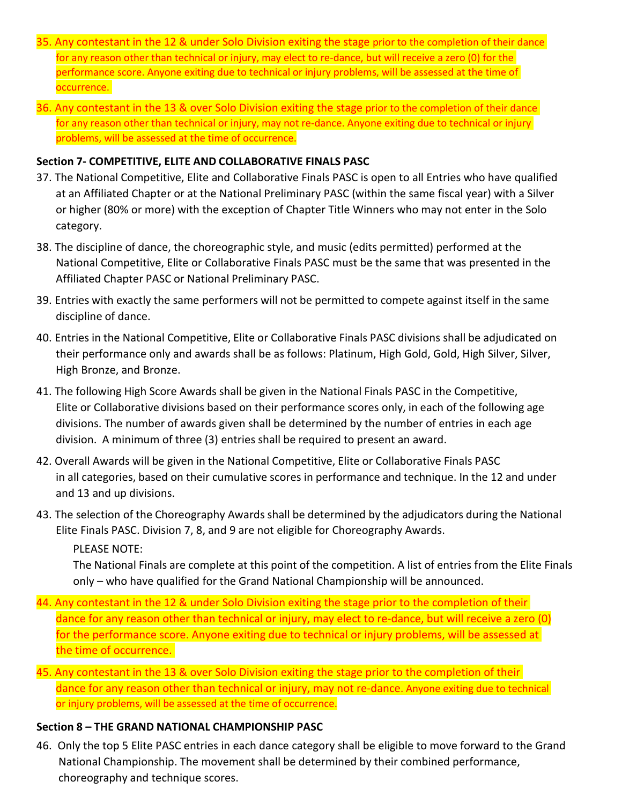- 35. Any contestant in the 12 & under Solo Division exiting the stage prior to the completion of their dance for any reason other than technical or injury, may elect to re-dance, but will receive a zero (0) for the performance score. Anyone exiting due to technical or injury problems, will be assessed at the time of occurrence.
- 36. Any contestant in the 13 & over Solo Division exiting the stage prior to the completion of their dance for any reason other than technical or injury, may not re-dance. Anyone exiting due to technical or injury problems, will be assessed at the time of occurrence.

#### **Section 7- COMPETITIVE, ELITE AND COLLABORATIVE FINALS PASC**

- 37. The National Competitive, Elite and Collaborative Finals PASC is open to all Entries who have qualified at an Affiliated Chapter or at the National Preliminary PASC (within the same fiscal year) with a Silver or higher (80% or more) with the exception of Chapter Title Winners who may not enter in the Solo category.
- 38. The discipline of dance, the choreographic style, and music (edits permitted) performed at the National Competitive, Elite or Collaborative Finals PASC must be the same that was presented in the Affiliated Chapter PASC or National Preliminary PASC.
- 39. Entries with exactly the same performers will not be permitted to compete against itself in the same discipline of dance.
- 40. Entries in the National Competitive, Elite or Collaborative Finals PASC divisions shall be adjudicated on their performance only and awards shall be as follows: Platinum, High Gold, Gold, High Silver, Silver, High Bronze, and Bronze.
- 41. The following High Score Awards shall be given in the National Finals PASC in the Competitive, Elite or Collaborative divisions based on their performance scores only, in each of the following age divisions. The number of awards given shall be determined by the number of entries in each age division. A minimum of three (3) entries shall be required to present an award.
- 42. Overall Awards will be given in the National Competitive, Elite or Collaborative Finals PASC in all categories, based on their cumulative scores in performance and technique. In the 12 and under and 13 and up divisions.
- 43. The selection of the Choreography Awards shall be determined by the adjudicators during the National Elite Finals PASC. Division 7, 8, and 9 are not eligible for Choreography Awards.

PLEASE NOTE:

The National Finals are complete at this point of the competition. A list of entries from the Elite Finals only – who have qualified for the Grand National Championship will be announced.

- 44. Any contestant in the 12 & under Solo Division exiting the stage prior to the completion of their dance for any reason other than technical or injury, may elect to re-dance, but will receive a zero (0) for the performance score. Anyone exiting due to technical or injury problems, will be assessed at the time of occurrence.
- 45. Any contestant in the 13 & over Solo Division exiting the stage prior to the completion of their dance for any reason other than technical or injury, may not re-dance. Anyone exiting due to technical or injury problems, will be assessed at the time of occurrence.

#### **Section 8 – THE GRAND NATIONAL CHAMPIONSHIP PASC**

46. Only the top 5 Elite PASC entries in each dance category shall be eligible to move forward to the Grand National Championship. The movement shall be determined by their combined performance, choreography and technique scores.